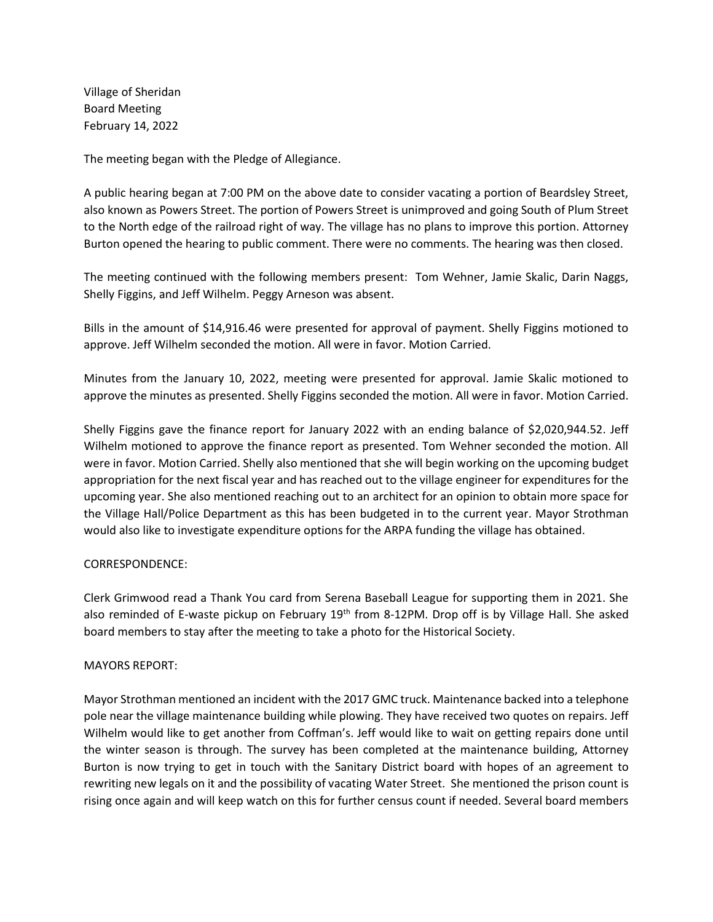Village of Sheridan Board Meeting February 14, 2022

The meeting began with the Pledge of Allegiance.

A public hearing began at 7:00 PM on the above date to consider vacating a portion of Beardsley Street, also known as Powers Street. The portion of Powers Street is unimproved and going South of Plum Street to the North edge of the railroad right of way. The village has no plans to improve this portion. Attorney Burton opened the hearing to public comment. There were no comments. The hearing was then closed.

The meeting continued with the following members present: Tom Wehner, Jamie Skalic, Darin Naggs, Shelly Figgins, and Jeff Wilhelm. Peggy Arneson was absent.

Bills in the amount of \$14,916.46 were presented for approval of payment. Shelly Figgins motioned to approve. Jeff Wilhelm seconded the motion. All were in favor. Motion Carried.

Minutes from the January 10, 2022, meeting were presented for approval. Jamie Skalic motioned to approve the minutes as presented. Shelly Figgins seconded the motion. All were in favor. Motion Carried.

Shelly Figgins gave the finance report for January 2022 with an ending balance of \$2,020,944.52. Jeff Wilhelm motioned to approve the finance report as presented. Tom Wehner seconded the motion. All were in favor. Motion Carried. Shelly also mentioned that she will begin working on the upcoming budget appropriation for the next fiscal year and has reached out to the village engineer for expenditures for the upcoming year. She also mentioned reaching out to an architect for an opinion to obtain more space for the Village Hall/Police Department as this has been budgeted in to the current year. Mayor Strothman would also like to investigate expenditure options for the ARPA funding the village has obtained.

# CORRESPONDENCE:

Clerk Grimwood read a Thank You card from Serena Baseball League for supporting them in 2021. She also reminded of E-waste pickup on February 19<sup>th</sup> from 8-12PM. Drop off is by Village Hall. She asked board members to stay after the meeting to take a photo for the Historical Society.

# MAYORS REPORT:

Mayor Strothman mentioned an incident with the 2017 GMC truck. Maintenance backed into a telephone pole near the village maintenance building while plowing. They have received two quotes on repairs. Jeff Wilhelm would like to get another from Coffman's. Jeff would like to wait on getting repairs done until the winter season is through. The survey has been completed at the maintenance building, Attorney Burton is now trying to get in touch with the Sanitary District board with hopes of an agreement to rewriting new legals on it and the possibility of vacating Water Street. She mentioned the prison count is rising once again and will keep watch on this for further census count if needed. Several board members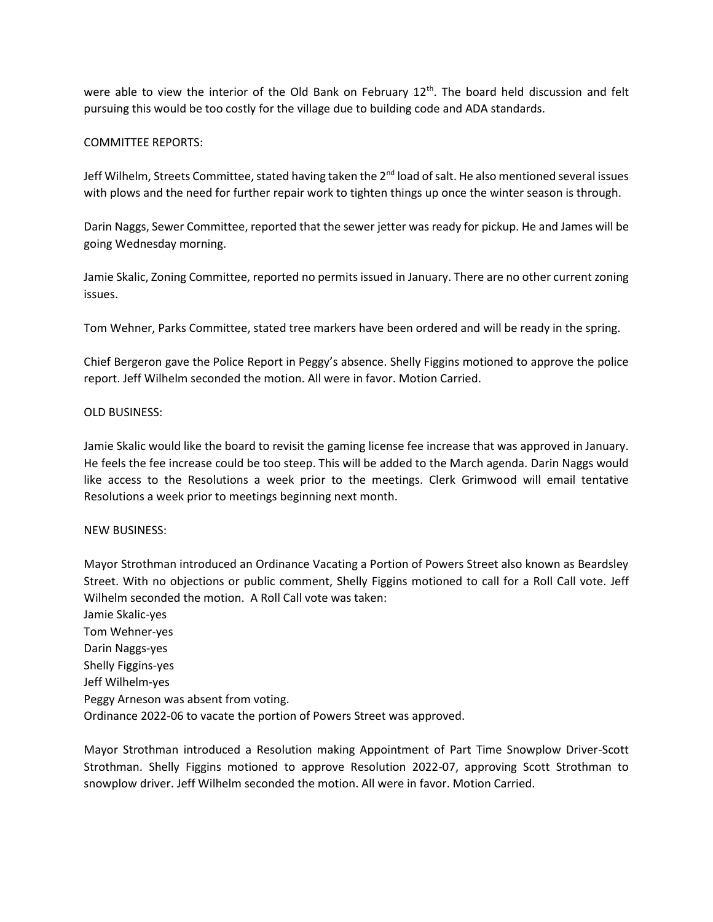were able to view the interior of the Old Bank on February  $12<sup>th</sup>$ . The board held discussion and felt pursuing this would be too costly for the village due to building code and ADA standards.

## COMMITTEE REPORTS:

Jeff Wilhelm, Streets Committee, stated having taken the 2nd load of salt. He also mentioned several issues with plows and the need for further repair work to tighten things up once the winter season is through.

Darin Naggs, Sewer Committee, reported that the sewer jetter was ready for pickup. He and James will be going Wednesday morning.

Jamie Skalic, Zoning Committee, reported no permits issued in January. There are no other current zoning issues.

Tom Wehner, Parks Committee, stated tree markers have been ordered and will be ready in the spring.

Chief Bergeron gave the Police Report in Peggy's absence. Shelly Figgins motioned to approve the police report. Jeff Wilhelm seconded the motion. All were in favor. Motion Carried.

## OLD BUSINESS:

Jamie Skalic would like the board to revisit the gaming license fee increase that was approved in January. He feels the fee increase could be too steep. This will be added to the March agenda. Darin Naggs would like access to the Resolutions a week prior to the meetings. Clerk Grimwood will email tentative Resolutions a week prior to meetings beginning next month.

### NEW BUSINESS:

Mayor Strothman introduced an Ordinance Vacating a Portion of Powers Street also known as Beardsley Street. With no objections or public comment, Shelly Figgins motioned to call for a Roll Call vote. Jeff Wilhelm seconded the motion. A Roll Call vote was taken:

Jamie Skalic-yes Tom Wehner-yes Darin Naggs-yes Shelly Figgins-yes Jeff Wilhelm-yes Peggy Arneson was absent from voting. Ordinance 2022-06 to vacate the portion of Powers Street was approved.

Mayor Strothman introduced a Resolution making Appointment of Part Time Snowplow Driver-Scott Strothman. Shelly Figgins motioned to approve Resolution 2022-07, approving Scott Strothman to snowplow driver. Jeff Wilhelm seconded the motion. All were in favor. Motion Carried.